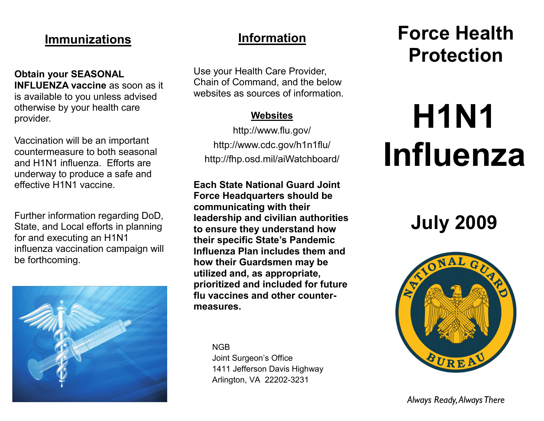### **Immunizations**

**Obtain your SEASONAL INFLUENZA vaccine** as soon as it is available to you unless advised otherwise by your health care provider.

Vaccination will be an important countermeasure to both seasonal and H1N1 influenza. Efforts are underway to produce a safe and effective H1N1 vaccine.

Further information regarding DoD, State, and Local efforts in planning for and executing an H1N1 influenza vaccination campaign will be forthcoming.



### **Information**

Use your Health Care Provider, Chain of Command, and the below websites as sources of information.

### **Websites**

http://www.flu.gov/ http://www.cdc.gov/h1n1flu/ http://fhp.osd.mil/aiWatchboard/

**Each State National Guard Joint Force Headquarters should be communicating with their leadership and civilian authorities to ensure they understand how their specific State's Pandemic Influenza Plan includes them and how their Guardsmen may be utilized and, as appropriate, prioritized and included for future flu vaccines and other countermeasures.** 

NGB

Joint Surgeon's Office 1411 Jefferson Davis Highway Arlington, VA 22202-3231

## **Force Health Protection**

# **H1N1 Influenza**

**July 2009**